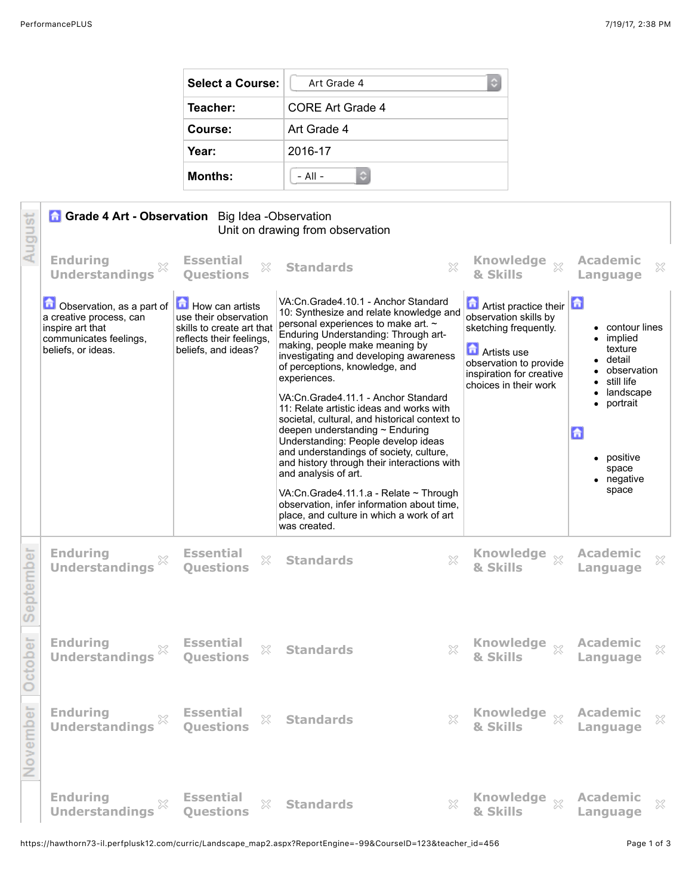| <b>Select a Course:</b> | Art Grade 4<br>٥        |  |
|-------------------------|-------------------------|--|
| Teacher:                | <b>CORE Art Grade 4</b> |  |
| Course:                 | Art Grade 4             |  |
| Year:                   | 2016-17                 |  |
| <b>Months:</b>          | $-$ All $-$             |  |

| August    | <b>Grade 4 Art - Observation</b> Big Idea - Observation<br>Unit on drawing from observation                              |                                                                                                                          |                                                                                                                                                                                                                                                                                                                                                                                                                                                                                                                                                                                                                                  |                                                                                                                                                                                          |                                                                                                                                                 |
|-----------|--------------------------------------------------------------------------------------------------------------------------|--------------------------------------------------------------------------------------------------------------------------|----------------------------------------------------------------------------------------------------------------------------------------------------------------------------------------------------------------------------------------------------------------------------------------------------------------------------------------------------------------------------------------------------------------------------------------------------------------------------------------------------------------------------------------------------------------------------------------------------------------------------------|------------------------------------------------------------------------------------------------------------------------------------------------------------------------------------------|-------------------------------------------------------------------------------------------------------------------------------------------------|
|           | <b>Enduring</b><br><b>Understandings</b>                                                                                 | <b>Essential</b><br>$\mathbb{X}$<br><b>Ouestions</b>                                                                     | $\boldsymbol{\mathsf{X}}$<br><b>Standards</b>                                                                                                                                                                                                                                                                                                                                                                                                                                                                                                                                                                                    | <b>Knowledge</b><br>$\chi$<br>& Skills                                                                                                                                                   | <b>Academic</b><br>$\boldsymbol{\mathbb{X}}$<br>Language                                                                                        |
|           | Observation, as a part of<br>a creative process, can<br>inspire art that<br>communicates feelings,<br>beliefs, or ideas. | How can artists<br>use their observation<br>skills to create art that<br>reflects their feelings,<br>beliefs, and ideas? | VA:Cn.Grade4.10.1 - Anchor Standard<br>10: Synthesize and relate knowledge and<br>personal experiences to make art. ~<br>Enduring Understanding: Through art-<br>making, people make meaning by<br>investigating and developing awareness<br>of perceptions, knowledge, and<br>experiences.<br>VA:Cn.Grade4.11.1 - Anchor Standard<br>11: Relate artistic ideas and works with<br>societal, cultural, and historical context to<br>deepen understanding $\sim$ Enduring<br>Understanding: People develop ideas<br>and understandings of society, culture,<br>and history through their interactions with<br>and analysis of art. | <b>Antist practice their</b><br>observation skills by<br>sketching frequently.<br><b>n</b><br>Artists use<br>observation to provide<br>inspiration for creative<br>choices in their work | • contour lines<br>implied<br>texture<br>• detail<br>observation<br>still life<br>landscape<br>portrait<br>습<br>positive<br>space<br>• negative |
|           |                                                                                                                          |                                                                                                                          | VA:Cn.Grade4.11.1.a - Relate ~ Through<br>observation, infer information about time,<br>place, and culture in which a work of art<br>was created.                                                                                                                                                                                                                                                                                                                                                                                                                                                                                |                                                                                                                                                                                          | space                                                                                                                                           |
| September | <b>Enduring</b><br>X<br><b>Understandings</b>                                                                            | <b>Essential</b><br>X<br><b>Ouestions</b>                                                                                | X<br><b>Standards</b>                                                                                                                                                                                                                                                                                                                                                                                                                                                                                                                                                                                                            | <b>Knowledge</b><br>$\chi$<br>& Skills                                                                                                                                                   | <b>Academic</b><br>X<br>Language                                                                                                                |
| October   | <b>Enduring</b><br><b>Understandings</b>                                                                                 | <b>Essential</b><br>X<br><b>Ouestions</b>                                                                                | X<br><b>Standards</b>                                                                                                                                                                                                                                                                                                                                                                                                                                                                                                                                                                                                            | <b>Knowledge</b><br>$\chi$<br>& Skills                                                                                                                                                   | <b>Academic</b><br>X<br><b>Language</b>                                                                                                         |
| November  | Enduring<br>Understandings $\%$ Essential<br>Understandings $\%$ Questions                                               | $\gtrsim$                                                                                                                | <b>Standards</b>                                                                                                                                                                                                                                                                                                                                                                                                                                                                                                                                                                                                                 | <b>Knowledge <math>\%</math> Academic <math>\%</math></b><br>& Skills $\qquad$ Language $\%$<br>X                                                                                        |                                                                                                                                                 |
|           | <b>Enduring</b><br>Enduring<br>Understandings                                                                            | <b>Essential</b><br>X<br><b>Questions</b>                                                                                | <b>Standards</b>                                                                                                                                                                                                                                                                                                                                                                                                                                                                                                                                                                                                                 | $\chi$ Knowledge $\chi$<br>& Skills                                                                                                                                                      | Academic<br>$\chi$<br>Language                                                                                                                  |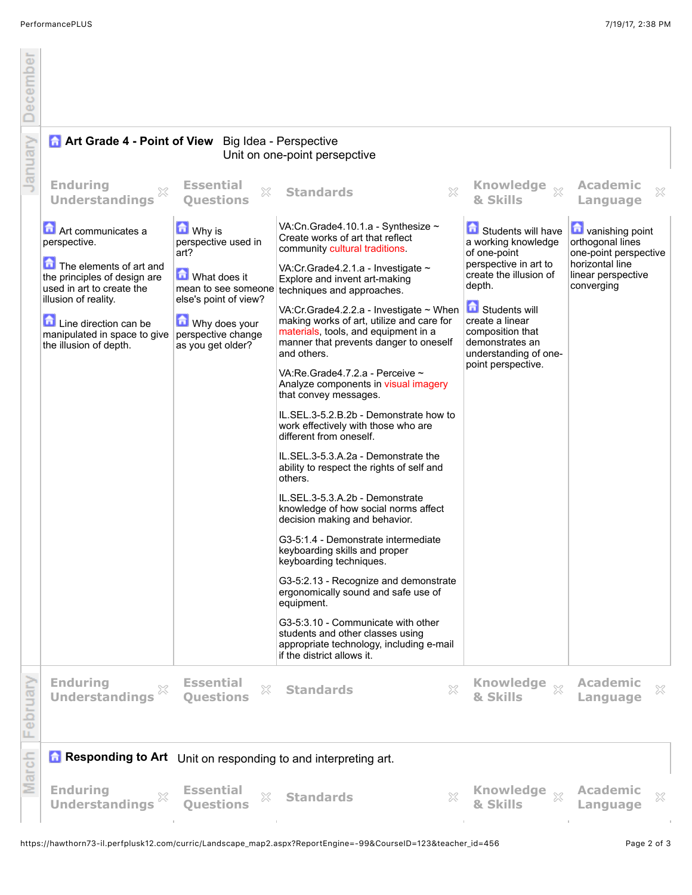December

|      | <b>Art Grade 4 - Point of View</b> Big Idea - Perspective<br>Unit on one-point persepctive                                                                                                                                            |                                                                                                                                                              |                                                                                                                                                                                                                                                                                                                                                                                                                                                                                                                                                                                                                                                                                                                                                                                                                                                                                                                                                                                                                                                                                                                                                                              |                                                                                                                                                                                                                                                           |                                                                                                                              |
|------|---------------------------------------------------------------------------------------------------------------------------------------------------------------------------------------------------------------------------------------|--------------------------------------------------------------------------------------------------------------------------------------------------------------|------------------------------------------------------------------------------------------------------------------------------------------------------------------------------------------------------------------------------------------------------------------------------------------------------------------------------------------------------------------------------------------------------------------------------------------------------------------------------------------------------------------------------------------------------------------------------------------------------------------------------------------------------------------------------------------------------------------------------------------------------------------------------------------------------------------------------------------------------------------------------------------------------------------------------------------------------------------------------------------------------------------------------------------------------------------------------------------------------------------------------------------------------------------------------|-----------------------------------------------------------------------------------------------------------------------------------------------------------------------------------------------------------------------------------------------------------|------------------------------------------------------------------------------------------------------------------------------|
| Janu | <b>Enduring</b><br>X<br><b>Understandings</b>                                                                                                                                                                                         | <b>Essential</b><br>X<br><b>Ouestions</b>                                                                                                                    | ×<br><b>Standards</b>                                                                                                                                                                                                                                                                                                                                                                                                                                                                                                                                                                                                                                                                                                                                                                                                                                                                                                                                                                                                                                                                                                                                                        | Knowledge xx<br>& Skills                                                                                                                                                                                                                                  | <b>Academic</b><br>×<br>Language                                                                                             |
|      | Art communicates a<br>perspective.<br>The elements of art and<br>the principles of design are<br>used in art to create the<br>illusion of reality.<br>Line direction can be<br>manipulated in space to give<br>the illusion of depth. | <b>M</b> Why is<br>perspective used in<br>art?<br><b>M</b> What does it<br>else's point of view?<br>Why does your<br>perspective change<br>as you get older? | VA:Cn.Grade4.10.1.a - Synthesize ~<br>Create works of art that reflect<br>community cultural traditions.<br>VA:Cr.Grade4.2.1.a - Investigate ~<br>Explore and invent art-making<br>mean to see someone techniques and approaches.<br>VA:Cr.Grade4.2.2.a - Investigate ~ When<br>making works of art, utilize and care for<br>materials, tools, and equipment in a<br>manner that prevents danger to oneself<br>and others.<br>VA:Re.Grade4.7.2.a - Perceive ~<br>Analyze components in visual imagery<br>that convey messages.<br>IL.SEL.3-5.2.B.2b - Demonstrate how to<br>work effectively with those who are<br>different from oneself.<br>IL.SEL.3-5.3.A.2a - Demonstrate the<br>ability to respect the rights of self and<br>others.<br>IL.SEL.3-5.3.A.2b - Demonstrate<br>knowledge of how social norms affect<br>decision making and behavior.<br>G3-5:1.4 - Demonstrate intermediate<br>keyboarding skills and proper<br>keyboarding techniques.<br>G3-5:2.13 - Recognize and demonstrate<br>ergonomically sound and safe use of<br>equipment.<br>G3-5:3.10 - Communicate with other<br>students and other classes using<br>appropriate technology, including e-mail | Students will have<br>a working knowledge<br>of one-point<br>perspective in art to<br>create the illusion of<br>depth.<br><b>G</b> Students will<br>create a linear<br>composition that<br>demonstrates an<br>understanding of one-<br>point perspective. | <b>D</b> vanishing point<br>orthogonal lines<br>one-point perspective<br>horizontal line<br>linear perspective<br>converging |
|      | <b>Enduring</b><br>X                                                                                                                                                                                                                  | <b>Essential</b><br>X                                                                                                                                        | if the district allows it.<br>X<br><b>Standards</b>                                                                                                                                                                                                                                                                                                                                                                                                                                                                                                                                                                                                                                                                                                                                                                                                                                                                                                                                                                                                                                                                                                                          | Knowledge $\frac{1}{2}$                                                                                                                                                                                                                                   | <b>Academic</b><br>×                                                                                                         |
|      | <b>Understandings</b>                                                                                                                                                                                                                 | <b>Ouestions</b>                                                                                                                                             |                                                                                                                                                                                                                                                                                                                                                                                                                                                                                                                                                                                                                                                                                                                                                                                                                                                                                                                                                                                                                                                                                                                                                                              | & Skills                                                                                                                                                                                                                                                  | Language                                                                                                                     |
| ಹ    | <b>Responding to Art</b> Unit on responding to and interpreting art.                                                                                                                                                                  |                                                                                                                                                              |                                                                                                                                                                                                                                                                                                                                                                                                                                                                                                                                                                                                                                                                                                                                                                                                                                                                                                                                                                                                                                                                                                                                                                              |                                                                                                                                                                                                                                                           |                                                                                                                              |
|      | <b>Enduring</b><br>X<br><b>Understandings</b>                                                                                                                                                                                         | <b>Essential</b><br>$\mathbb{Z}^2$<br><b>Ouestions</b>                                                                                                       | X<br><b>Standards</b>                                                                                                                                                                                                                                                                                                                                                                                                                                                                                                                                                                                                                                                                                                                                                                                                                                                                                                                                                                                                                                                                                                                                                        | Knowledge xx<br>& Skills                                                                                                                                                                                                                                  | <b>Academic</b><br>×<br>Language                                                                                             |

 $\bar{1}$ 

 $\bar{1}$ 

 $\bar{1}$